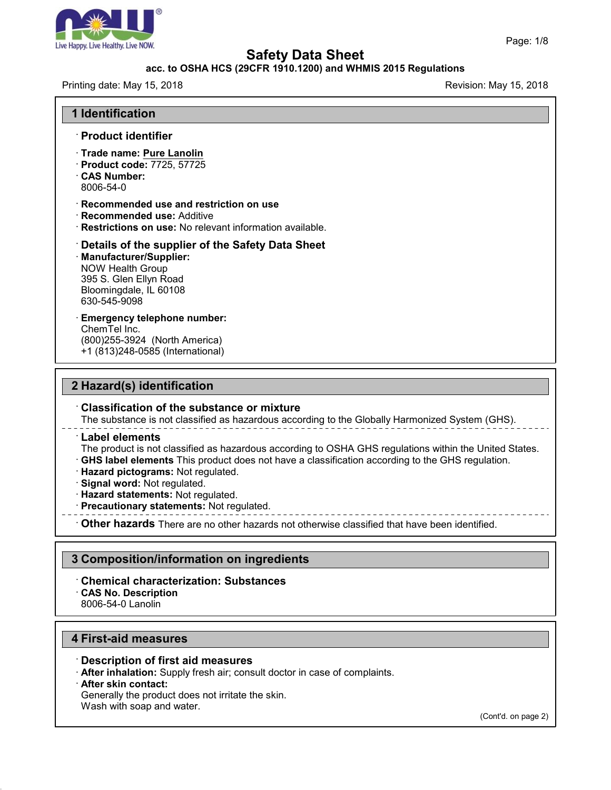

### **acc. to OSHA HCS (29CFR 1910.1200) and WHMIS 2015 Regulations**

Printing date: May 15, 2018 **Printing date: May 15, 2018** Revision: May 15, 2018

| <b>1 Identification</b>                                                                                                                                                      |  |
|------------------------------------------------------------------------------------------------------------------------------------------------------------------------------|--|
| $\cdot$ Product identifier                                                                                                                                                   |  |
| · Trade name: Pure Lanolin<br>· Product code: 7725, 57725<br><b>CAS Number:</b><br>8006-54-0                                                                                 |  |
| $\cdot$ Recommended use and restriction on use<br>· Recommended use: Additive<br>· Restrictions on use: No relevant information available.                                   |  |
| $\cdot$ Details of the supplier of the Safety Data Sheet<br>· Manufacturer/Supplier:<br>NOW Health Group<br>395 S. Glen Ellyn Road<br>Bloomingdale, IL 60108<br>630-545-9098 |  |
| <b>Emergency telephone number:</b><br>ChemTel Inc.<br>(800) 255-3924 (North America)<br>+1 (813)248-0585 (International)                                                     |  |
| .                                                                                                                                                                            |  |

### **2 Hazard(s) identification**

#### · **Classification of the substance or mixture**

The substance is not classified as hazardous according to the Globally Harmonized System (GHS).

#### · **Label elements**

The product is not classified as hazardous according to OSHA GHS regulations within the United States. · **GHS label elements** This product does nothave a classification according to the GHS regulation.

- · **Hazard pictograms:** Not regulated.
- · **Signal word:** Not regulated.
- · **Hazard statements:** Not regulated.
- · **Precautionary statements:** Not regulated.
- · **Other hazards** There are no other hazards nototherwise classified that have been identified.

### **3 Composition/information on ingredients**

#### · **Chemical characterization: Substances** · **CAS No. Description** 8006-54-0 Lanolin

### **4 First-aid measures**

· **Description of first aid measures**

· **After inhalation:** Supply fresh air; consult doctor in case of complaints.

· **After skin contact:**

47.0

Generally the product does not irritate the skin.

Wash with soap and water.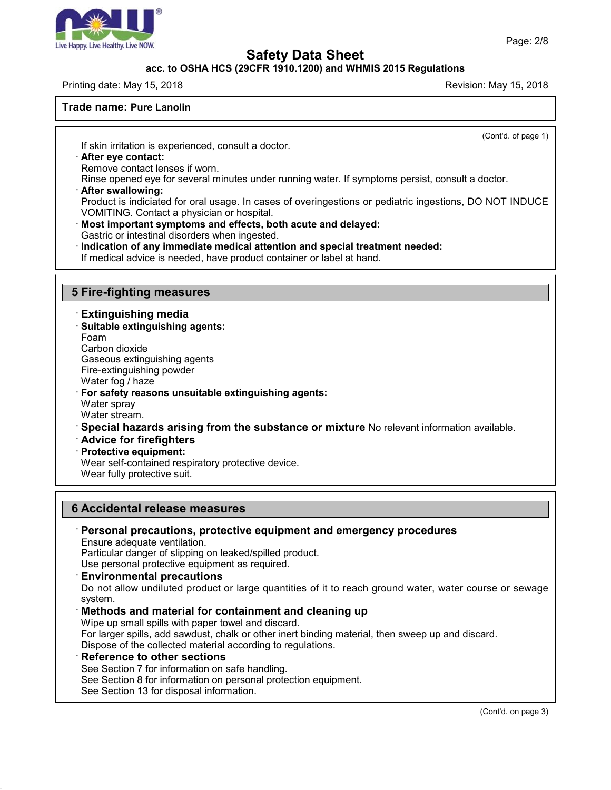

### **acc. to OSHA HCS (29CFR 1910.1200) and WHMIS 2015 Regulations**

#### Printing date: May 15, 2018 **Printing date: May 15, 2018** Revision: May 15, 2018

#### **Trade name: Pure Lanolin**

(Cont'd. of page 1)

If skin irritation is experienced, consult a doctor.

#### · **After eye contact:**

Remove contact lenses if worn.

Rinse opened eye for several minutes under running water. If symptoms persist, consult a doctor.

#### · **After swallowing:**

Product is indiciated for oral usage. In cases of overingestions or pediatric ingestions, DO NOT INDUCE VOMITING. Contact a physician or hospital.

· **Most important symptoms and effects, both acute and delayed:**

Gastric or intestinal disorders when ingested.

· **Indication of any immediate medical attention and special treatment needed:**

If medical advice is needed, have product container or label at hand.

### **5 Fire-fighting measures**

· **Extinguishing media**

· **Suitable extinguishing agents:**

Foam

Carbon dioxide

Gaseous extinguishing agents

Fire-extinguishing powder

Water fog / haze

· **For safety reasons unsuitable extinguishing agents:**

Water spray

Water stream.

· **Special hazards arising from the substance or mixture** No relevant information available.

· **Advice for firefighters**

· **Protective equipment:**

Wear self-contained respiratory protective device.

Wear fully protective suit.

### **6 Accidental release measures**

# · **Personal precautions, protective equipment and emergency procedures**

Ensure adequate ventilation.

Particular danger of slipping on leaked/spilled product.

Use personal protective equipment as required.

#### · **Environmental precautions**

Do not allow undiluted product or large quantities of it to reach ground water, water course or sewage system.

### · **Methods and material for containment and cleaning up**

Wipe up small spills with paper towel and discard.

For larger spills, add sawdust, chalk or other inert binding material, then sweep up and discard.

Dispose of the collected material according to regulations.

### · **Reference to other sections**

47.0

See Section 7 for information on safe handling.

See Section 8 for information on personal protection equipment.

See Section 13 for disposal information.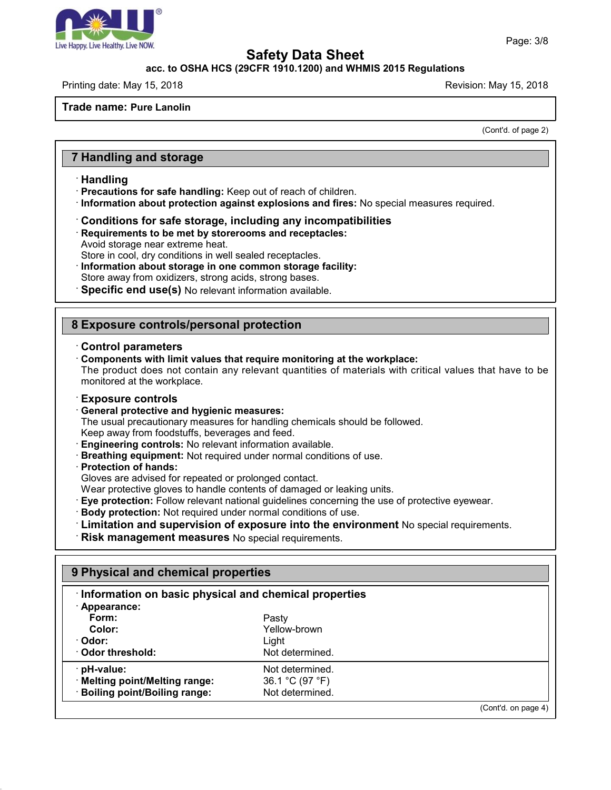

#### **acc. to OSHA HCS (29CFR 1910.1200) and WHMIS 2015 Regulations**

Printing date: May 15, 2018 **Printing date: May 15, 2018** Revision: May 15, 2018

**Trade name: Pure Lanolin**

(Cont'd. of page 2)

# **7 Handling and storage**

#### · **Handling**

- · **Precautions for safe handling:** Keep out of reach of children.
- · **Information about protection against explosions and fires:** No special measures required.
- · **Conditions for safe storage, including any incompatibilities**
- · **Requirements to be met by storerooms and receptacles:**
- Avoid storage near extreme heat.
- Store in cool, dry conditions in well sealed receptacles.
- · **Information about storage in one common storage facility:**
- Store away from oxidizers, strong acids, strong bases.
- · **Specific end use(s)** No relevant information available.

# **8 Exposure controls/personal protection**

#### · **Control parameters**

· **Components with limit values that require monitoring at the workplace:**

The product does not contain any relevant quantities of materials with critical values that have to be monitored at the workplace.

#### · **Exposure controls**

· **General protective and hygienic measures:**

The usual precautionary measures for handling chemicals should be followed. Keep away from foodstuffs, beverages and feed.

- · **Engineering controls:** No relevant information available.
- · **Breathing equipment:** Not required under normal conditions of use.
- · **Protection of hands:**

47.0

Gloves are advised for repeated or prolonged contact.

Wear protective gloves to handle contents of damaged or leaking units.

- · **Eye protection:** Follow relevant national guidelines concerning the use of protective eyewear.
- · **Body protection:** Not required under normal conditions of use.
- · **Limitation and supervision of exposure into the environment** No special requirements.
- · **Risk management measures** No special requirements.

# **9 Physical and chemical properties** · **Information on basic physical and chemical properties** · **Appearance: Form:** Pasty **Color:** Yellow-brown · **Odor:** Light **Odor threshold:** Not determined. · **pH-value:** Not determined.<br>**Netting point/Melting range:** 36.1 °C (97 °F) · **Melting point/Melting range:** 36.1 °C (97 °F)  $\cdot$  Boiling point/Boiling range: (Cont'd. on page 4)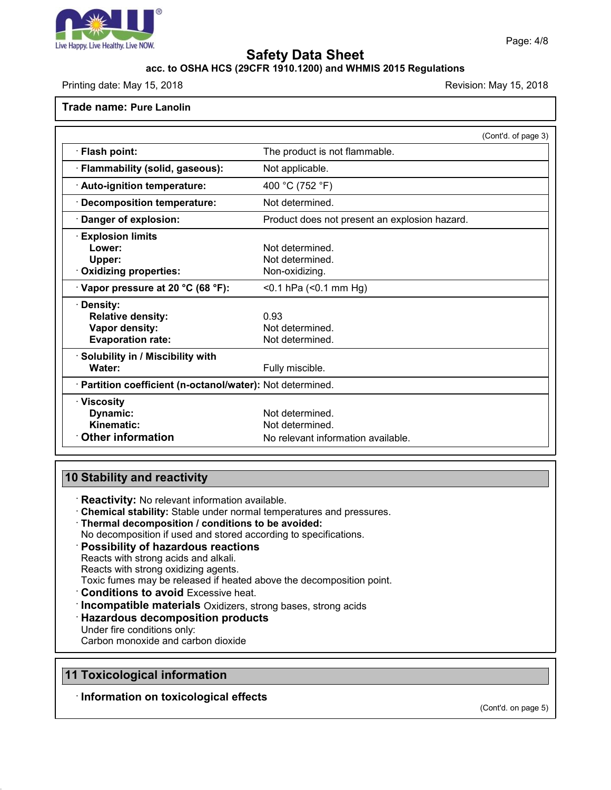

## **acc. to OSHA HCS (29CFR 1910.1200) and WHMIS 2015 Regulations**

Printing date: May 15, 2018 **Printing date: May 15, 2018** Revision: May 15, 2018

#### **Trade name: Pure Lanolin**

|                                                            | (Cont'd. of page 3)                           |
|------------------------------------------------------------|-----------------------------------------------|
| · Flash point:                                             | The product is not flammable.                 |
| · Flammability (solid, gaseous):                           | Not applicable.                               |
| · Auto-ignition temperature:                               | 400 °C (752 °F)                               |
| <b>Decomposition temperature:</b>                          | Not determined.                               |
| Danger of explosion:                                       | Product does not present an explosion hazard. |
| <b>Explosion limits</b>                                    |                                               |
| Lower:                                                     | Not determined.                               |
| Upper:                                                     | Not determined.                               |
| <b>Oxidizing properties:</b>                               | Non-oxidizing.                                |
| $\cdot$ Vapor pressure at 20 °C (68 °F):                   | $<$ 0.1 hPa $(<$ 0.1 mm Hg)                   |
| Density:                                                   |                                               |
| <b>Relative density:</b>                                   | 0.93                                          |
| Vapor density:                                             | Not determined.                               |
| <b>Evaporation rate:</b>                                   | Not determined.                               |
| $\cdot$ Solubility in / Miscibility with                   |                                               |
| Water:                                                     | Fully miscible.                               |
| · Partition coefficient (n-octanol/water): Not determined. |                                               |
| · Viscosity                                                |                                               |
| Dynamic:                                                   | Not determined.                               |
| Kinematic:                                                 | Not determined.                               |
| <b>Other information</b>                                   | No relevant information available.            |

# **10 Stability and reactivity**

· **Reactivity:** No relevant information available.

· **Chemical stability:** Stable under normal temperatures and pressures.

· **Thermal decomposition / conditions to be avoided:**

No decomposition if used and stored according to specifications.

- · **Possibility of hazardous reactions**
- Reacts with strong acids and alkali.

Reacts with strong oxidizing agents.

Toxic fumes may be released if heated above the decomposition point.

- · **Conditions to avoid** Excessive heat.
- · **Incompatible materials** Oxidizers, strong bases, strong acids
- · **Hazardous decomposition products**
- Under fire conditions only:

Carbon monoxide and carbon dioxide

# **11 Toxicological information**

47.0

· **Information on toxicological effects**

(Cont'd. on page 5)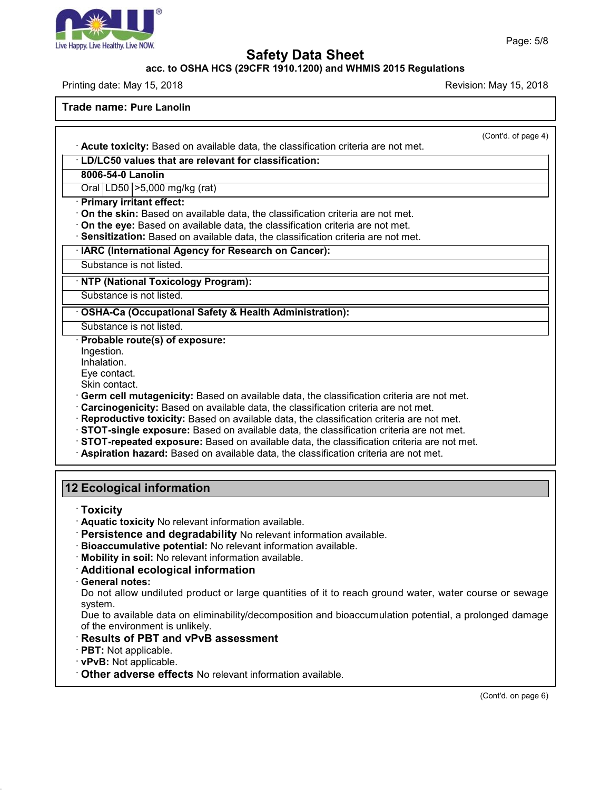

### **acc. to OSHA HCS (29CFR 1910.1200) and WHMIS 2015 Regulations**

Printing date: May 15, 2018 **Printing date: May 15, 2018** Revision: May 15, 2018

**Trade name: Pure Lanolin**

(Cont'd. of page 4) · **Acute toxicity:** Based on available data, the classification criteria are not met. · **LD/LC50 values that are relevant for classification: 8006-54-0 Lanolin** Oral LD50 >5,000 mg/kg (rat) · **Primary irritant effect:** · **On the skin:** Based on available data, the classification criteria are not met. · **On the eye:** Based on available data, the classification criteria are not met. · **Sensitization:** Based on available data, the classification criteria are not met. · **IARC (International Agency for Research on Cancer):** Substance is not listed. · **NTP (National Toxicology Program):** Substance is not listed. · **OSHA-Ca (Occupational Safety & Health Administration):** Substance is not listed. · **Probable route(s) of exposure:** Ingestion. Inhalation. Eye contact. Skin contact. · **Germ cell mutagenicity:** Based on available data, the classification criteria are not met. · **Carcinogenicity:** Based on available data, the classification criteria are not met. · **Reproductive toxicity:** Based on available data, the classification criteria are not met. · **STOT-single exposure:** Based on available data, the classification criteria are not met. · **STOT-repeated exposure:** Based on available data, the classification criteria are not met. · **Aspiration hazard:** Based on available data, the classification criteria are not met. **12 Ecological information**

· **Toxicity**

· **Aquatic toxicity** No relevant information available.

· **Persistence and degradability** No relevant information available.

· **Bioaccumulative potential:** No relevant information available.

· **Mobility in soil:** No relevant information available.

· **Additional ecological information**

· **General notes:**

Do not allow undiluted product or large quantities of it to reach ground water, water course or sewage system.

Due to available data on eliminability/decomposition and bioaccumulation potential, a prolonged damage of the environment is unlikely.

· **Results of PBT and vPvB assessment**

· **PBT:** Not applicable.

· **vPvB:** Not applicable.

47.0

· **Other adverse effects** No relevant information available.

(Cont'd. on page 6)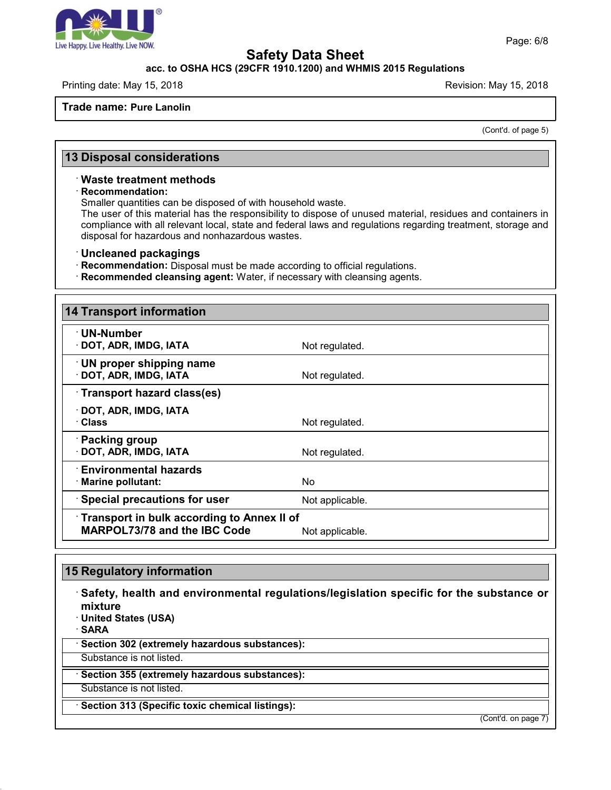

### **acc. to OSHA HCS (29CFR 1910.1200) and WHMIS 2015 Regulations**

Printing date: May 15, 2018 **Printing date: May 15, 2018** Revision: May 15, 2018

**Trade name: Pure Lanolin**

(Cont'd. of page 5)

# **13 Disposal considerations**

#### · **Waste treatment methods**

· **Recommendation:**

Smaller quantities can be disposed of with household waste.

The user of this material has the responsibility to dispose of unused material, residues and containers in compliance with all relevant local, state and federal laws and regulations regarding treatment, storage and disposal for hazardous and nonhazardous wastes.

· **Uncleaned packagings**

· **Recommendation:** Disposal must be made according to official regulations.

· **Recommended cleansing agent:** Water, if necessary with cleansing agents.

| <b>14 Transport information</b>                                                   |                 |
|-----------------------------------------------------------------------------------|-----------------|
| <b>⋅UN-Number</b><br>· DOT, ADR, IMDG, IATA                                       | Not regulated.  |
| <b>UN proper shipping name</b><br>· DOT, ADR, IMDG, IATA                          | Not regulated.  |
| Transport hazard class(es)                                                        |                 |
| · DOT, ADR, IMDG, IATA<br>· Class                                                 | Not regulated.  |
| · Packing group<br>· DOT, ADR, IMDG, IATA                                         | Not regulated.  |
| <b>Environmental hazards</b><br>· Marine pollutant:                               | No.             |
| <b>Special precautions for user</b>                                               | Not applicable. |
| Transport in bulk according to Annex II of<br><b>MARPOL73/78 and the IBC Code</b> | Not applicable. |

# **15 Regulatory information**

47.0

· **Safety, health and environmental regulations/legislation specific for the substance or mixture** · **United States (USA)** · **SARA** · **Section 302 (extremely hazardous substances):** Substance is not listed. · **Section 355 (extremely hazardous substances):** Substance is not listed.

· **Section 313 (Specific toxic chemical listings):**

(Cont'd. on page 7)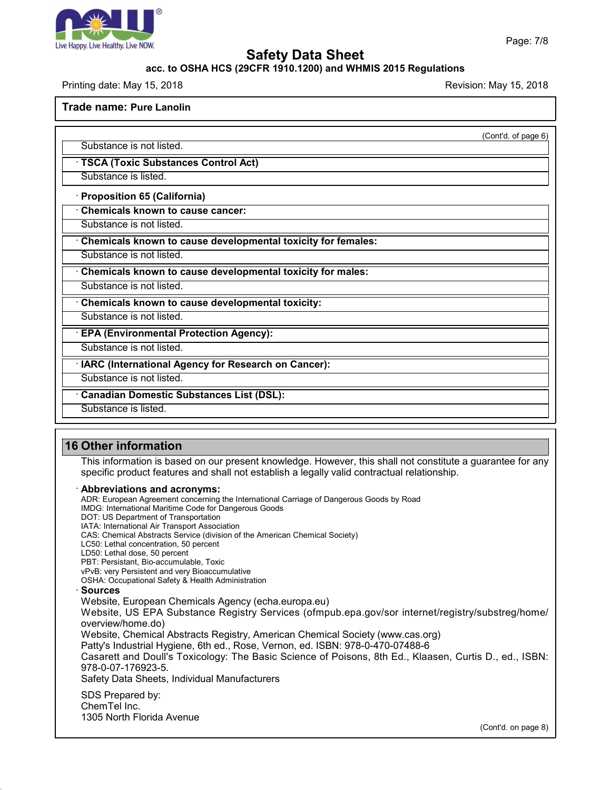

### **acc. to OSHA HCS (29CFR 1910.1200) and WHMIS 2015 Regulations**

Printing date: May 15, 2018 **Printing date: May 15, 2018** Revision: May 15, 2018

**Trade name: Pure Lanolin**

(Cont'd. of page 6)

Substance is not listed.

· **TSCA (Toxic Substances Control Act)**

Substance is listed.

· **Proposition 65 (California)**

· **Chemicals known to cause cancer:**

Substance is not listed.

· **Chemicals known to cause developmental toxicity for females:**

Substance is not listed.

· **Chemicals known to cause developmental toxicity for males:**

Substance is not listed.

· **Chemicals known to cause developmental toxicity:**

Substance is not listed.

· **EPA (Environmental Protection Agency):**

Substance is not listed.

· **IARC (International Agency for Research on Cancer):**

Substance is not listed.

· **Canadian Domestic Substances List (DSL):**

Substance is listed.

# **16 Other information**

This information is based on our present knowledge. However, this shall not constitute a guarantee for any specific product features and shall not establish a legally valid contractual relationship.

· **Abbreviations and acronyms:**

ADR: European Agreement concerning the International Carriage of Dangerous Goods by Road

IMDG: International Maritime Code for Dangerous Goods

DOT: US Department of Transportation

IATA: International Air Transport Association

CAS: Chemical Abstracts Service (division of the American Chemical Society)

LC50: Lethal concentration, 50 percent

LD50: Lethal dose, 50 percent

PBT: Persistant, Bio-accumulable, Toxic

vPvB: very Persistent and very Bioaccumulative OSHA: Occupational Safety & Health Administration

#### · **Sources**

47.0

Website, European Chemicals Agency (echa.europa.eu)

Website, US EPA Substance Registry Services (ofmpub.epa.gov/sor internet/registry/substreg/home/ overview/home.do)

Website, Chemical Abstracts Registry, American Chemical Society (www.cas.org)

Patty's Industrial Hygiene, 6th ed., Rose, Vernon, ed. ISBN: 978-0-470-07488-6

Casarett and Doull's Toxicology: The Basic Science of Poisons, 8th Ed., Klaasen, Curtis D.,ed., ISBN: 978-0-07-176923-5.

Safety Data Sheets, Individual Manufacturers

SDS Prepared by: ChemTel Inc. 1305 North Florida Avenue

(Cont'd. on page 8)